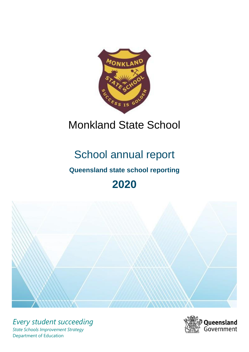

# Monkland State School

# School annual report

# **Queensland state school reporting**

# **2020**



*Every student succeeding State Schools Improvement Strategy* Department of Education

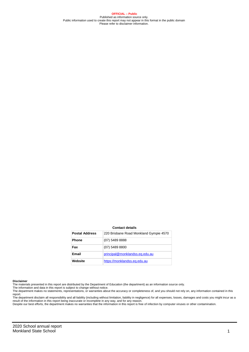**OFFICIAL – Public** Published as information source only. Public information used to create this report may not appear in this format in the public domain Please refer to disclaimer information.

#### **Contact details**

| <b>Postal Address</b> | 220 Brisbane Road Monkland Gympie 4570 |
|-----------------------|----------------------------------------|
| <b>Phone</b>          | (07) 5489 8888                         |
| Fax                   | $(07)$ 5489 8800                       |
| Email                 | principal@monklandss.eq.edu.au         |
| Website               | https://monklandss.eq.edu.au           |

#### **Disclaimer**

The materials presented in this report are distributed by the Department of Education (the department) as an information source only. The information and data in this report is subject to change without notice.

The department makes no statements, representations, or warranties about the accuracy or completeness of, and you should not rely on, any information contained in this report.

The department disclaim all responsibility and all liability (including without limitation, liability in negligence) for all expenses, losses, damages and costs you might incur as a<br>result of the information in this report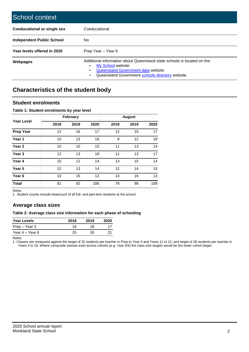| School context                     |                                                                                                                                                                                         |
|------------------------------------|-----------------------------------------------------------------------------------------------------------------------------------------------------------------------------------------|
| <b>Coeducational or single sex</b> | Coeducational                                                                                                                                                                           |
| <b>Independent Public School</b>   | No                                                                                                                                                                                      |
| Year levels offered in 2020        | Prep Year - Year 6                                                                                                                                                                      |
| <b>Webpages</b>                    | Additional information about Queensland state schools is located on the:<br>My School website<br>Queensland Government data website<br>Queensland Government schools directory website. |

# **Characteristics of the student body**

### **Student enrolments**

#### **Table 1: Student enrolments by year level**

|                   |      | February |      |      | <b>August</b> |      |
|-------------------|------|----------|------|------|---------------|------|
| <b>Year Level</b> | 2018 | 2019     | 2020 | 2018 | 2019          | 2020 |
| <b>Prep Year</b>  | 12   | 16       | 17   | 12   | 15            | 17   |
| Year 1            | 10   | 13       | 16   | 9    | 12            | 18   |
| Year <sub>2</sub> | 10   | 10       | 15   | 11   | 13            | 14   |
| Year <sub>3</sub> | 12   | 13       | 18   | 11   | 13            | 17   |
| Year 4            | 15   | 12       | 14   | 13   | 15            | 14   |
| Year 5            | 12   | 13       | 14   | 12   | 14            | 15   |
| Year <sub>6</sub> | 10   | 15       | 12   | 10   | 16            | 13   |
| <b>Total</b>      | 81   | 92       | 106  | 78   | 98            | 108  |

Notes

1. Student counts include headcount of all full- and part-time students at the school.

## **Average class sizes**

#### **Table 2: Average class size information for each phase of schooling**

| Year Levels     | 2018 | 2019 | 2020 |
|-----------------|------|------|------|
| Prep – Year 3   | 18   | 18   |      |
| Year 4 – Year 6 | 25   | 30.  | 21   |

Notes

1. Classes are measured against the target of 25 students per teacher in Prep to Year 3 and Years 11 to 12, and target of 28 students per teacher in Years 4 to 10. Where composite classes exist across cohorts (e.g. Year 3/4) the class size targets would be the lower cohort target.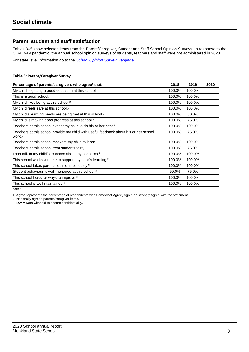## **Parent, student and staff satisfaction**

Tables 3–5 show selected items from the Parent/Caregiver, Student and Staff School Opinion Surveys. In response to the COVID-19 pandemic, the annual school opinion surveys of students, teachers and staff were not administered in 2020.

For state level information go to the *[School Opinion Survey](https://qed.qld.gov.au/publications/reports/statistics/schooling/schools/schoolopinionsurvey)* [webpage.](https://qed.qld.gov.au/publications/reports/statistics/schooling/schools/schoolopinionsurvey)

#### **Table 3: Parent/Caregiver Survey**

| Percentage of parents/caregivers who agree <sup>1</sup> that:                                               | 2018   | 2019   | 2020 |
|-------------------------------------------------------------------------------------------------------------|--------|--------|------|
| My child is getting a good education at this school.                                                        | 100.0% | 100.0% |      |
| This is a good school.                                                                                      | 100.0% | 100.0% |      |
| My child likes being at this school. <sup>2</sup>                                                           | 100.0% | 100.0% |      |
| My child feels safe at this school. <sup>2</sup>                                                            | 100.0% | 100.0% |      |
| My child's learning needs are being met at this school. <sup>2</sup>                                        | 100.0% | 50.0%  |      |
| My child is making good progress at this school. <sup>2</sup>                                               | 100.0% | 75.0%  |      |
| Teachers at this school expect my child to do his or her best. <sup>2</sup>                                 | 100.0% | 100.0% |      |
| Teachers at this school provide my child with useful feedback about his or her school<br>work. <sup>2</sup> | 100.0% | 75.0%  |      |
| Teachers at this school motivate my child to learn. <sup>2</sup>                                            | 100.0% | 100.0% |      |
| Teachers at this school treat students fairly. <sup>2</sup>                                                 | 100.0% | 75.0%  |      |
| I can talk to my child's teachers about my concerns. <sup>2</sup>                                           | 100.0% | 100.0% |      |
| This school works with me to support my child's learning. <sup>2</sup>                                      | 100.0% | 100.0% |      |
| This school takes parents' opinions seriously. <sup>2</sup>                                                 | 100.0% | 100.0% |      |
| Student behaviour is well managed at this school. <sup>2</sup>                                              | 50.0%  | 75.0%  |      |
| This school looks for ways to improve. <sup>2</sup>                                                         | 100.0% | 100.0% |      |
| This school is well maintained. <sup>2</sup>                                                                | 100.0% | 100.0% |      |

Notes

1. *Agree* represents the percentage of respondents who Somewhat Agree, Agree or Strongly Agree with the statement.

2. Nationally agreed parents/caregiver items.

3. DW = Data withheld to ensure confidentiality.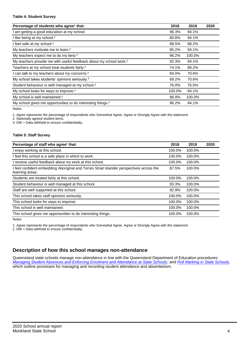#### **Table 4: Student Survey**

| Percentage of students who agree <sup>1</sup> that:                            | 2018   | 2019   | 2020 |
|--------------------------------------------------------------------------------|--------|--------|------|
| am getting a good education at my school.                                      | 96.3%  | 94.1%  |      |
| I like being at my school. <sup>2</sup>                                        | 80.8%  | 94.1%  |      |
| I feel safe at my school. <sup>2</sup>                                         | 88.5%  | 88.2%  |      |
| My teachers motivate me to learn. <sup>2</sup>                                 | 85.2%  | 94.1%  |      |
| My teachers expect me to do my best. <sup>2</sup>                              | 96.2%  | 100.0% |      |
| My teachers provide me with useful feedback about my school work. <sup>2</sup> | 92.3%  | 94.1%  |      |
| Teachers at my school treat students fairly. <sup>2</sup>                      | 74.1%  | 88.2%  |      |
| can talk to my teachers about my concerns. <sup>2</sup>                        | 84.0%  | 70.6%  |      |
| My school takes students' opinions seriously. <sup>2</sup>                     | 69.2%  | 70.6%  |      |
| Student behaviour is well managed at my school. <sup>2</sup>                   | 76.0%  | 76.5%  |      |
| My school looks for ways to improve. <sup>2</sup>                              | 100.0% | 94.1%  |      |
| My school is well maintained. <sup>2</sup>                                     | 88.9%  | 100.0% |      |
| My school gives me opportunities to do interesting things. <sup>2</sup>        | 96.2%  | 94.1%  |      |

Notes

1. *Agree* represents the percentage of respondents who Somewhat Agree, Agree or Strongly Agree with the statement.

2. Nationally agreed student items.

3. DW = Data withheld to ensure confidentiality.

#### **Table 5: Staff Survey**

| Percentage of staff who agree <sup>1</sup> that:                                                            | 2018   | 2019   | 2020 |
|-------------------------------------------------------------------------------------------------------------|--------|--------|------|
| I enjoy working at this school.                                                                             | 100.0% | 100.0% |      |
| I feel this school is a safe place in which to work.                                                        | 100.0% | 100.0% |      |
| I receive useful feedback about my work at this school.                                                     | 100.0% | 100.0% |      |
| I feel confident embedding Aboriginal and Torres Strait Islander perspectives across the<br>learning areas. | 87.5%  | 100.0% |      |
| Students are treated fairly at this school.                                                                 | 100.0% | 100.0% |      |
| Student behaviour is well managed at this school.                                                           | 93.3%  | 100.0% |      |
| Staff are well supported at this school.                                                                    | 92.9%  | 100.0% |      |
| This school takes staff opinions seriously.                                                                 | 100.0% | 100.0% |      |
| This school looks for ways to improve.                                                                      | 100.0% | 100.0% |      |
| This school is well maintained.                                                                             | 100.0% | 100.0% |      |
| This school gives me opportunities to do interesting things.                                                | 100.0% | 100.0% |      |

Notes

1. *Agree* represents the percentage of respondents who Somewhat Agree, Agree or Strongly Agree with the statement.

2. DW = Data withheld to ensure confidentiality.

## **Description of how this school manages non-attendance**

Queensland state schools manage non-attendance in line with the Queensland Department of Education procedures: *[Managing Student Absences and Enforcing Enrolment and Attendance at State Schools](https://ppr.qed.qld.gov.au/pp/managing-student-absences-and-enforcing-enrolment-and-attendance-at-state-schools-procedure)*; and *[Roll Marking in State Schools,](https://ppr.qed.qld.gov.au/pp/roll-marking-in-state-schools-procedure)* which outline processes for managing and recording student attendance and absenteeism.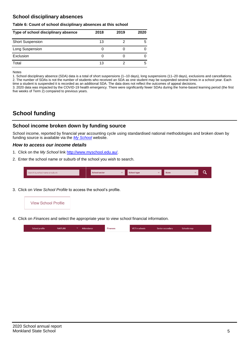## **School disciplinary absences**

#### **Table 6: Count of school disciplinary absences at this school**

| Type of school disciplinary absence | 2018 | 2019 | 2020 |
|-------------------------------------|------|------|------|
| <b>Short Suspension</b>             | 13   |      | 5    |
| Long Suspension                     |      |      |      |
| Exclusion                           |      |      |      |
| Total                               | 13   |      | 5    |

Notes

1. School disciplinary absence (SDA) data is a total of short suspensions (1–10 days), long suspensions (11–20 days), exclusions and cancellations. 2. The number of SDAs is not the number of students who received an SDA as one student may be suspended several times in a school year. Each time a student is suspended it is recorded as an additional SDA. The data does not reflect the outcomes of appeal decisions.

3. 2020 data was impacted by the COVID-19 health emergency. There were significantly fewer SDAs during the home-based learning period (the first five weeks of Term 2) compared to previous years.

# **School funding**

## **School income broken down by funding source**

School income, reported by financial year accounting cycle using standardised national methodologies and broken down by funding source is available via the *[My School](http://www.myschool.edu.au/)* website.

#### *How to access our income details*

- 1. Click on the *My School* link [http://www.myschool.edu.au/.](http://www.myschool.edu.au/)
- 2. Enter the school name or suburb of the school you wish to search.

| Search by school name or suburb | <b>School sector</b> | <b>School type</b> | <b>State</b> | ∽ |
|---------------------------------|----------------------|--------------------|--------------|---|
|                                 |                      |                    |              |   |

3. Click on *View School Profile* to access the school's profile.



4. Click on *Finances* and select the appropriate year to view school financial information.

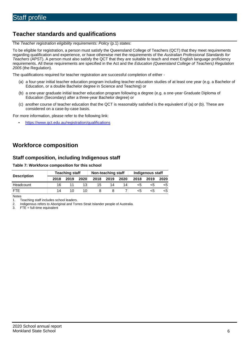# **Teacher standards and qualifications**

The *Teacher registration eligibility requirements: Policy* (p.1) states:

To be eligible for registration, a person must satisfy the Queensland College of Teachers (QCT) that they meet requirements regarding qualification and experience, or have otherwise met the requirements of the *Australian Professional Standards for Teachers* (APST). A person must also satisfy the QCT that they are suitable to teach and meet English language proficiency requirements. All these requirements are specified in the Act and the *Education (Queensland College of Teachers) Regulation 2005* (the Regulation).

The qualifications required for teacher registration are successful completion of either -

- (a) a four-year initial teacher education program including teacher education studies of at least one year (e.g. a Bachelor of Education, or a double Bachelor degree in Science and Teaching) or
- (b) a one-year graduate initial teacher education program following a degree (e.g. a one-year Graduate Diploma of Education (Secondary) after a three-year Bachelor degree) or
- (c) another course of teacher education that the QCT is reasonably satisfied is the equivalent of (a) or (b). These are considered on a case-by-case basis.

For more information, please refer to the following link:

• <https://www.qct.edu.au/registration/qualifications>

## **Workforce composition**

### **Staff composition, including Indigenous staff**

#### **Table 7: Workforce composition for this school**

|                    | <b>Teaching staff</b> |      |      | Non-teaching staff |      |      | Indigenous staff |      |      |  |
|--------------------|-----------------------|------|------|--------------------|------|------|------------------|------|------|--|
| <b>Description</b> | 2018                  | 2019 | 2020 | 2018               | 2019 | 2020 | 2018             | 2019 | 2020 |  |
| Headcount          | 16                    |      |      | 15                 | 14   | 14   | <5               |      |      |  |
| <b>FTE</b>         | 14                    |      | 10   |                    |      |      | ה>               |      |      |  |

Notes

1. Teaching staff includes school leaders.<br>2. Indigenous refers to Aboriginal and Tor

2. Indigenous refers to Aboriginal and Torres Strait Islander people of Australia.<br>3. FTE = full-time equivalent

 $FTE = full-time equivalent$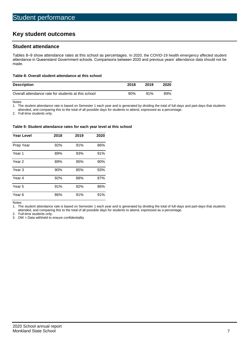# **Key student outcomes**

## **Student attendance**

Tables 8–9 show attendance rates at this school as percentages. In 2020, the COVID-19 health emergency affected student attendance in Queensland Government schools. Comparisons between 2020 and previous years' attendance data should not be made.

#### **Table 8: Overall student attendance at this school**

| <b>Description</b>                                  | 2018   | 2019 | 2020 |
|-----------------------------------------------------|--------|------|------|
| Overall attendance rate for students at this school | $90\%$ | 91%  | 89%  |

Notes<br>1. Th

The student attendance rate is based on Semester 1 each year and is generated by dividing the total of full-days and part-days that students

attended, and comparing this to the total of all possible days for students to attend, expressed as a percentage.

2. Full-time students only.

#### **Table 9: Student attendance rates for each year level at this school**

| <b>Year Level</b> | 2018 | 2019 | 2020 |
|-------------------|------|------|------|
| Prep Year         | 92%  | 91%  | 86%  |
| Year <sub>1</sub> | 89%  | 93%  | 91%  |
| Year 2            | 89%  | 95%  | 90%  |
| Year <sub>3</sub> | 90%  | 85%  | 93%  |
| Year 4            | 92%  | 88%  | 87%  |
| Year 5            | 91%  | 92%  | 86%  |
| Year <sub>6</sub> | 86%  | 91%  | 91%  |

Notes

1. The student attendance rate is based on Semester 1 each year and is generated by dividing the total of full-days and part-days that students attended, and comparing this to the total of all possible days for students to attend, expressed as a percentage.

2. Full-time students only.<br>3. DW = Data withheld to

 $DW = Data$  withheld to ensure confidentiality